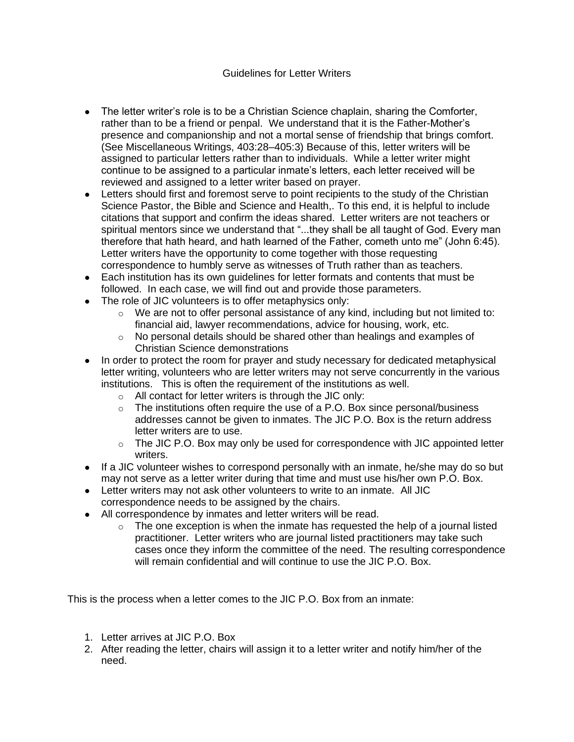## Guidelines for Letter Writers

- The letter writer's role is to be a Christian Science chaplain, sharing the Comforter, rather than to be a friend or penpal. We understand that it is the Father-Mother's presence and companionship and not a mortal sense of friendship that brings comfort. (See Miscellaneous Writings, 403:28–405:3) Because of this, letter writers will be assigned to particular letters rather than to individuals. While a letter writer might continue to be assigned to a particular inmate's letters, each letter received will be reviewed and assigned to a letter writer based on prayer.
- Letters should first and foremost serve to point recipients to the study of the Christian Science Pastor, the Bible and Science and Health,. To this end, it is helpful to include citations that support and confirm the ideas shared. Letter writers are not teachers or spiritual mentors since we understand that "...they shall be all taught of God. Every man therefore that hath heard, and hath learned of the Father, cometh unto me" (John 6:45). Letter writers have the opportunity to come together with those requesting correspondence to humbly serve as witnesses of Truth rather than as teachers.
- Each institution has its own guidelines for letter formats and contents that must be followed. In each case, we will find out and provide those parameters.
- The role of JIC volunteers is to offer metaphysics only:
	- $\circ$  We are not to offer personal assistance of any kind, including but not limited to: financial aid, lawyer recommendations, advice for housing, work, etc.
	- $\circ$  No personal details should be shared other than healings and examples of Christian Science demonstrations
- In order to protect the room for prayer and study necessary for dedicated metaphysical letter writing, volunteers who are letter writers may not serve concurrently in the various institutions. This is often the requirement of the institutions as well.
	- $\circ$  All contact for letter writers is through the JIC only:
	- $\circ$  The institutions often require the use of a P.O. Box since personal/business addresses cannot be given to inmates. The JIC P.O. Box is the return address letter writers are to use.
	- $\circ$  The JIC P.O. Box may only be used for correspondence with JIC appointed letter writers.
- If a JIC volunteer wishes to correspond personally with an inmate, he/she may do so but may not serve as a letter writer during that time and must use his/her own P.O. Box.
- Letter writers may not ask other volunteers to write to an inmate. All JIC correspondence needs to be assigned by the chairs.
- All correspondence by inmates and letter writers will be read.
	- $\circ$  The one exception is when the inmate has requested the help of a journal listed practitioner. Letter writers who are journal listed practitioners may take such cases once they inform the committee of the need. The resulting correspondence will remain confidential and will continue to use the JIC P.O. Box.

This is the process when a letter comes to the JIC P.O. Box from an inmate:

- 1. Letter arrives at JIC P.O. Box
- 2. After reading the letter, chairs will assign it to a letter writer and notify him/her of the need.